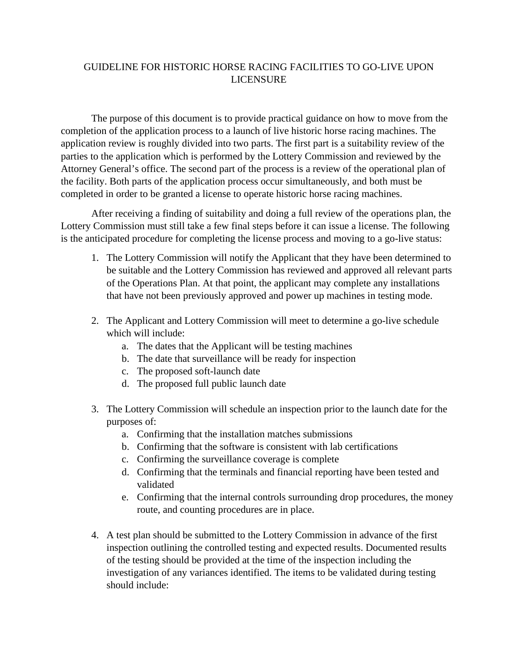## GUIDELINE FOR HISTORIC HORSE RACING FACILITIES TO GO-LIVE UPON LICENSURE

The purpose of this document is to provide practical guidance on how to move from the completion of the application process to a launch of live historic horse racing machines. The application review is roughly divided into two parts. The first part is a suitability review of the parties to the application which is performed by the Lottery Commission and reviewed by the Attorney General's office. The second part of the process is a review of the operational plan of the facility. Both parts of the application process occur simultaneously, and both must be completed in order to be granted a license to operate historic horse racing machines.

After receiving a finding of suitability and doing a full review of the operations plan, the Lottery Commission must still take a few final steps before it can issue a license. The following is the anticipated procedure for completing the license process and moving to a go-live status:

- 1. The Lottery Commission will notify the Applicant that they have been determined to be suitable and the Lottery Commission has reviewed and approved all relevant parts of the Operations Plan. At that point, the applicant may complete any installations that have not been previously approved and power up machines in testing mode.
- 2. The Applicant and Lottery Commission will meet to determine a go-live schedule which will include:
	- a. The dates that the Applicant will be testing machines
	- b. The date that surveillance will be ready for inspection
	- c. The proposed soft-launch date
	- d. The proposed full public launch date
- 3. The Lottery Commission will schedule an inspection prior to the launch date for the purposes of:
	- a. Confirming that the installation matches submissions
	- b. Confirming that the software is consistent with lab certifications
	- c. Confirming the surveillance coverage is complete
	- d. Confirming that the terminals and financial reporting have been tested and validated
	- e. Confirming that the internal controls surrounding drop procedures, the money route, and counting procedures are in place.
- 4. A test plan should be submitted to the Lottery Commission in advance of the first inspection outlining the controlled testing and expected results. Documented results of the testing should be provided at the time of the inspection including the investigation of any variances identified. The items to be validated during testing should include: